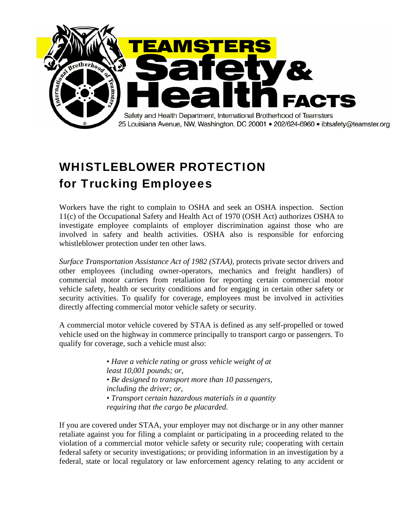

# WHISTLEBLOWER PROTECTION for Trucking Employees

Workers have the right to complain to OSHA and seek an OSHA inspection. Section 11(c) of the Occupational Safety and Health Act of 1970 (OSH Act) authorizes OSHA to investigate employee complaints of employer discrimination against those who are involved in safety and health activities. OSHA also is responsible for enforcing whistleblower protection under ten other laws.

*Surface Transportation Assistance Act of 1982 (STAA),* protects private sector drivers and other employees (including owner-operators, mechanics and freight handlers) of commercial motor carriers from retaliation for reporting certain commercial motor vehicle safety, health or security conditions and for engaging in certain other safety or security activities. To qualify for coverage, employees must be involved in activities directly affecting commercial motor vehicle safety or security.

A commercial motor vehicle covered by STAA is defined as any self-propelled or towed vehicle used on the highway in commerce principally to transport cargo or passengers. To qualify for coverage, such a vehicle must also:

> • *Have a vehicle rating or gross vehicle weight of at least 10,001 pounds; or, • Be designed to transport more than 10 passengers, including the driver; or, • Transport certain hazardous materials in a quantity requiring that the cargo be placarded.*

If you are covered under STAA, your employer may not discharge or in any other manner retaliate against you for filing a complaint or participating in a proceeding related to the violation of a commercial motor vehicle safety or security rule; cooperating with certain federal safety or security investigations; or providing information in an investigation by a federal, state or local regulatory or law enforcement agency relating to any accident or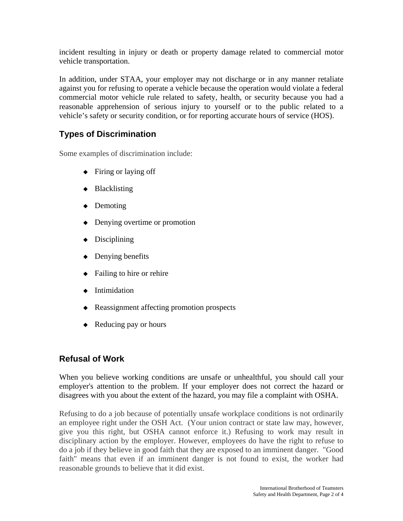incident resulting in injury or death or property damage related to commercial motor vehicle transportation.

In addition, under STAA, your employer may not discharge or in any manner retaliate against you for refusing to operate a vehicle because the operation would violate a federal commercial motor vehicle rule related to safety, health, or security because you had a reasonable apprehension of serious injury to yourself or to the public related to a vehicle's safety or security condition, or for reporting accurate hours of service (HOS).

## **Types of Discrimination**

Some examples of discrimination include:

- ◆ Firing or laying off
- ◆ Blacklisting
- ◆ Demoting
- ◆ Denying overtime or promotion
- $\bullet$  Disciplining
- ◆ Denying benefits
- $\triangleleft$  Failing to hire or rehire
- ◆ Intimidation
- ◆ Reassignment affecting promotion prospects
- ◆ Reducing pay or hours

### **Refusal of Work**

When you believe working conditions are unsafe or unhealthful, you should call your employer's attention to the problem. If your employer does not correct the hazard or disagrees with you about the extent of the hazard, you may file a complaint with OSHA.

Refusing to do a job because of potentially unsafe workplace conditions is not ordinarily an employee right under the OSH Act. (Your union contract or state law may, however, give you this right, but OSHA cannot enforce it.) Refusing to work may result in disciplinary action by the employer. However, employees do have the right to refuse to do a job if they believe in good faith that they are exposed to an imminent danger. "Good faith" means that even if an imminent danger is not found to exist, the worker had reasonable grounds to believe that it did exist.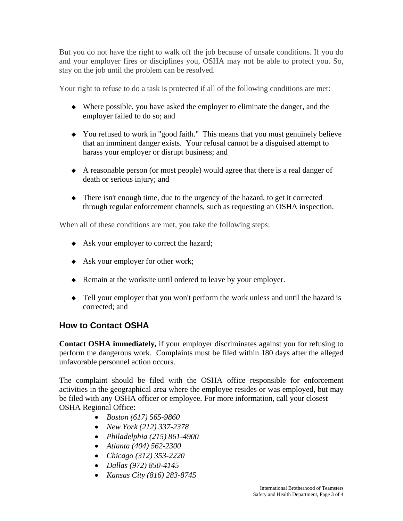But you do not have the right to walk off the job because of unsafe conditions. If you do and your employer fires or disciplines you, OSHA may not be able to protect you. So, stay on the job until the problem can be resolved.

Your right to refuse to do a task is protected if all of the following conditions are met:

- ◆ Where possible, you have asked the employer to eliminate the danger, and the employer failed to do so; and
- ◆ You refused to work in "good faith." This means that you must genuinely believe that an imminent danger exists. Your refusal cannot be a disguised attempt to harass your employer or disrupt business; and
- ◆ A reasonable person (or most people) would agree that there is a real danger of death or serious injury; and
- ◆ There isn't enough time, due to the urgency of the hazard, to get it corrected through regular enforcement channels, such as requesting an OSHA inspection.

When all of these conditions are met, you take the following steps:

- ◆ Ask your employer to correct the hazard;
- ◆ Ask your employer for other work;
- ◆ Remain at the worksite until ordered to leave by your employer.
- ◆ Tell your employer that you won't perform the work unless and until the hazard is corrected; and

### **How to Contact OSHA**

**Contact OSHA immediately,** if your employer discriminates against you for refusing to perform the dangerous work. Complaints must be filed within 180 days after the alleged unfavorable personnel action occurs.

The complaint should be filed with the OSHA office responsible for enforcement activities in the geographical area where the employee resides or was employed, but may be filed with any OSHA officer or employee. For more information, call your closest OSHA Regional Office:

- *Boston (617) 565-9860*
- *New York (212) 337-2378*
- *Philadelphia (215) 861-4900*
- *Atlanta (404) 562-2300*
- *Chicago (312) 353-2220*
- *Dallas (972) 850-4145*
- *Kansas City (816) 283-8745*